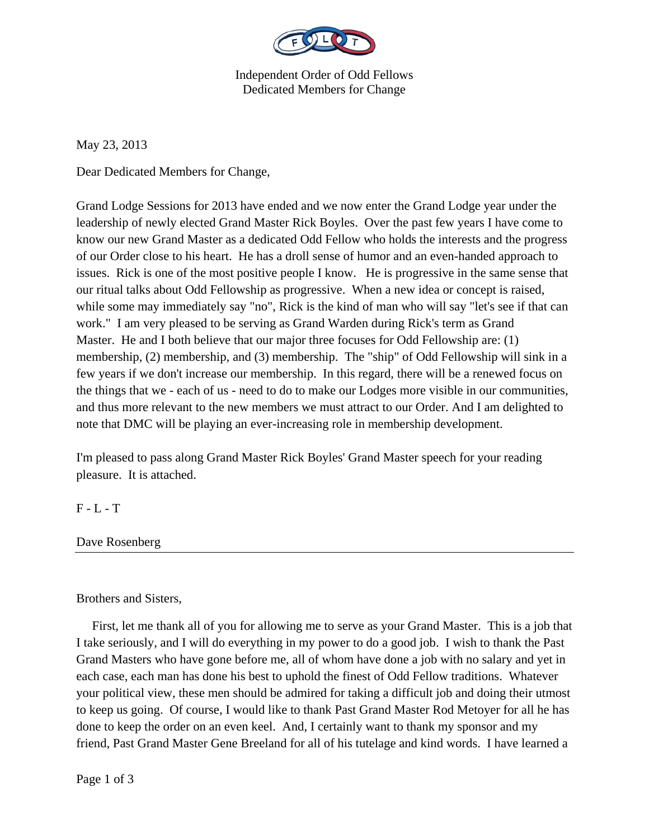

Independent Order of Odd Fellows Dedicated Members for Change

May 23, 2013

Dear Dedicated Members for Change,

Grand Lodge Sessions for 2013 have ended and we now enter the Grand Lodge year under the leadership of newly elected Grand Master Rick Boyles. Over the past few years I have come to know our new Grand Master as a dedicated Odd Fellow who holds the interests and the progress of our Order close to his heart. He has a droll sense of humor and an even-handed approach to issues. Rick is one of the most positive people I know. He is progressive in the same sense that our ritual talks about Odd Fellowship as progressive. When a new idea or concept is raised, while some may immediately say "no", Rick is the kind of man who will say "let's see if that can work." I am very pleased to be serving as Grand Warden during Rick's term as Grand Master. He and I both believe that our major three focuses for Odd Fellowship are: (1) membership, (2) membership, and (3) membership. The "ship" of Odd Fellowship will sink in a few years if we don't increase our membership. In this regard, there will be a renewed focus on the things that we - each of us - need to do to make our Lodges more visible in our communities, and thus more relevant to the new members we must attract to our Order. And I am delighted to note that DMC will be playing an ever-increasing role in membership development.

I'm pleased to pass along Grand Master Rick Boyles' Grand Master speech for your reading pleasure. It is attached.

## $F - L - T$

Dave Rosenberg

## Brothers and Sisters,

 First, let me thank all of you for allowing me to serve as your Grand Master. This is a job that I take seriously, and I will do everything in my power to do a good job. I wish to thank the Past Grand Masters who have gone before me, all of whom have done a job with no salary and yet in each case, each man has done his best to uphold the finest of Odd Fellow traditions. Whatever your political view, these men should be admired for taking a difficult job and doing their utmost to keep us going. Of course, I would like to thank Past Grand Master Rod Metoyer for all he has done to keep the order on an even keel. And, I certainly want to thank my sponsor and my friend, Past Grand Master Gene Breeland for all of his tutelage and kind words. I have learned a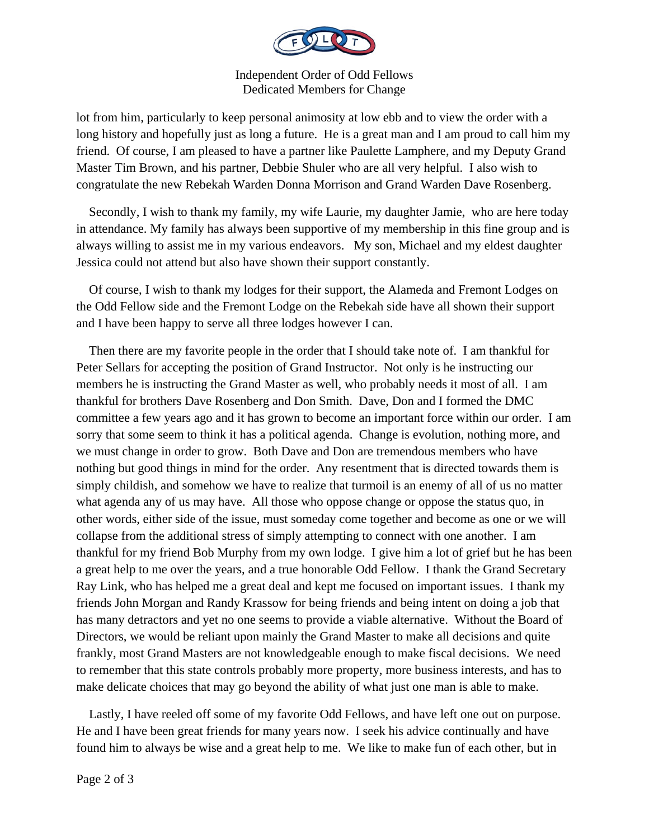

Independent Order of Odd Fellows Dedicated Members for Change

lot from him, particularly to keep personal animosity at low ebb and to view the order with a long history and hopefully just as long a future. He is a great man and I am proud to call him my friend. Of course, I am pleased to have a partner like Paulette Lamphere, and my Deputy Grand Master Tim Brown, and his partner, Debbie Shuler who are all very helpful. I also wish to congratulate the new Rebekah Warden Donna Morrison and Grand Warden Dave Rosenberg.

 Secondly, I wish to thank my family, my wife Laurie, my daughter Jamie, who are here today in attendance. My family has always been supportive of my membership in this fine group and is always willing to assist me in my various endeavors. My son, Michael and my eldest daughter Jessica could not attend but also have shown their support constantly.

 Of course, I wish to thank my lodges for their support, the Alameda and Fremont Lodges on the Odd Fellow side and the Fremont Lodge on the Rebekah side have all shown their support and I have been happy to serve all three lodges however I can.

 Then there are my favorite people in the order that I should take note of. I am thankful for Peter Sellars for accepting the position of Grand Instructor. Not only is he instructing our members he is instructing the Grand Master as well, who probably needs it most of all. I am thankful for brothers Dave Rosenberg and Don Smith. Dave, Don and I formed the DMC committee a few years ago and it has grown to become an important force within our order. I am sorry that some seem to think it has a political agenda. Change is evolution, nothing more, and we must change in order to grow. Both Dave and Don are tremendous members who have nothing but good things in mind for the order. Any resentment that is directed towards them is simply childish, and somehow we have to realize that turmoil is an enemy of all of us no matter what agenda any of us may have. All those who oppose change or oppose the status quo, in other words, either side of the issue, must someday come together and become as one or we will collapse from the additional stress of simply attempting to connect with one another. I am thankful for my friend Bob Murphy from my own lodge. I give him a lot of grief but he has been a great help to me over the years, and a true honorable Odd Fellow. I thank the Grand Secretary Ray Link, who has helped me a great deal and kept me focused on important issues. I thank my friends John Morgan and Randy Krassow for being friends and being intent on doing a job that has many detractors and yet no one seems to provide a viable alternative. Without the Board of Directors, we would be reliant upon mainly the Grand Master to make all decisions and quite frankly, most Grand Masters are not knowledgeable enough to make fiscal decisions. We need to remember that this state controls probably more property, more business interests, and has to make delicate choices that may go beyond the ability of what just one man is able to make.

 Lastly, I have reeled off some of my favorite Odd Fellows, and have left one out on purpose. He and I have been great friends for many years now. I seek his advice continually and have found him to always be wise and a great help to me. We like to make fun of each other, but in